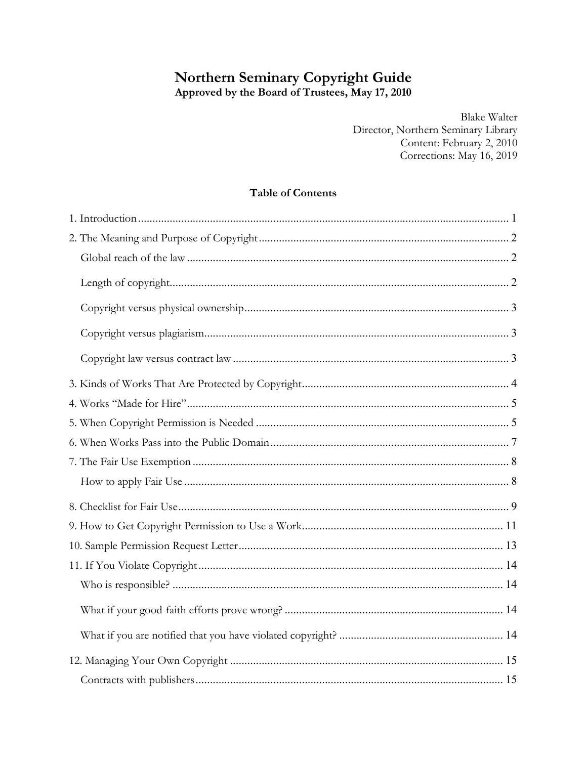# <span id="page-0-0"></span>Northern Seminary Copyright Guide

Approved by the Board of Trustees, May 17, 2010

**Blake Walter** Director, Northern Seminary Library Content: February 2, 2010 Corrections: May 16, 2019

## **Table of Contents**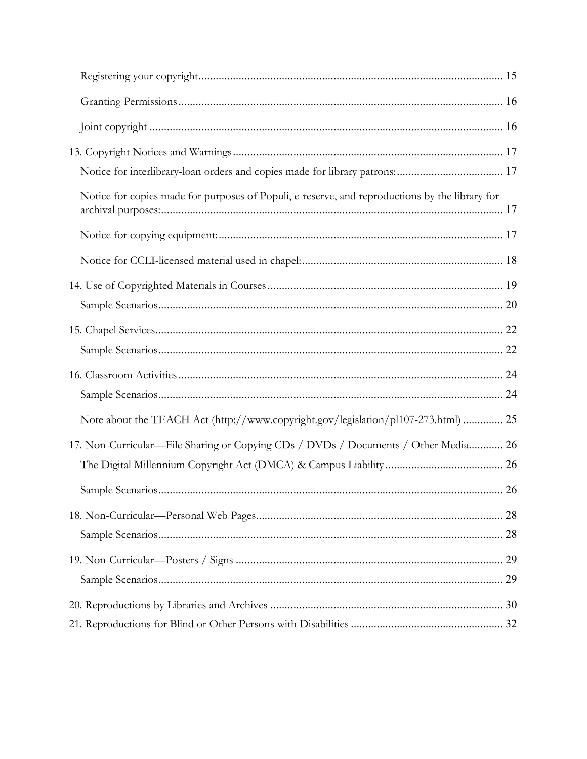<span id="page-1-0"></span>

| Notice for copies made for purposes of Populi, e-reserve, and reproductions by the library for |  |
|------------------------------------------------------------------------------------------------|--|
|                                                                                                |  |
|                                                                                                |  |
|                                                                                                |  |
|                                                                                                |  |
|                                                                                                |  |
|                                                                                                |  |
|                                                                                                |  |
|                                                                                                |  |
| Note about the TEACH Act (http://www.copyright.gov/legislation/pl107-273.html)  25             |  |
| 17. Non-Curricular—File Sharing or Copying CDs / DVDs / Documents / Other Media 26             |  |
|                                                                                                |  |
|                                                                                                |  |
|                                                                                                |  |
|                                                                                                |  |
|                                                                                                |  |
|                                                                                                |  |
|                                                                                                |  |
|                                                                                                |  |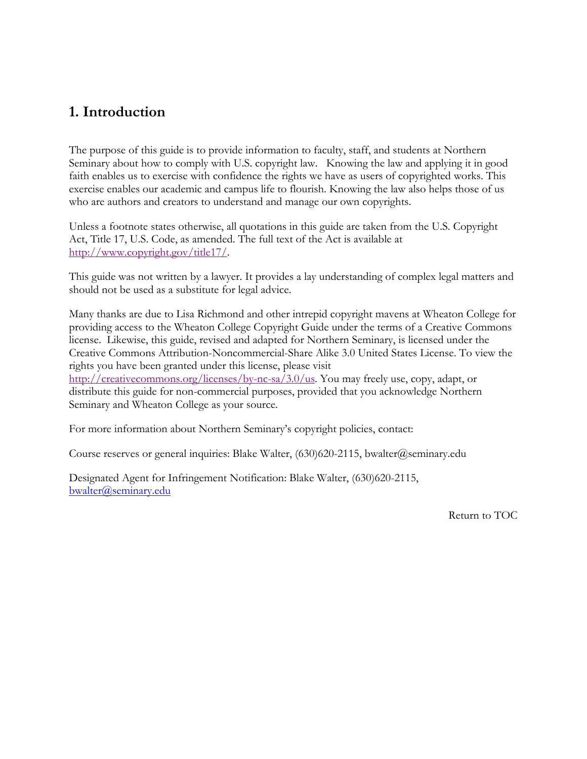## <span id="page-2-0"></span>**1. Introduction**

The purpose of this guide is to provide information to faculty, staff, and students at Northern Seminary about how to comply with U.S. copyright law. Knowing the law and applying it in good faith enables us to exercise with confidence the rights we have as users of copyrighted works. This exercise enables our academic and campus life to flourish. Knowing the law also helps those of us who are authors and creators to understand and manage our own copyrights.

Unless a footnote states otherwise, all quotations in this guide are taken from the U.S. Copyright Act, Title 17, U.S. Code, as amended. The full text of the Act is available at [http://www.copyright.gov/title17/.](http://www.copyright.gov/title17/)

This guide was not written by a lawyer. It provides a lay understanding of complex legal matters and should not be used as a substitute for legal advice.

Many thanks are due to Lisa Richmond and other intrepid copyright mavens at Wheaton College for providing access to the Wheaton College Copyright Guide under the terms of a Creative Commons license. Likewise, this guide, revised and adapted for Northern Seminary, is licensed under the Creative Commons Attribution-Noncommercial-Share Alike 3.0 United States License. To view the rights you have been granted under this license, please visit [http://creativecommons.org/licenses/by-nc-sa/3.0/us.](http://creativecommons.org/licenses/by-nc-sa/3.0/us) You may freely use, copy, adapt, or distribute this guide for non-commercial purposes, provided that you acknowledge Northern Seminary and Wheaton College as your source.

For more information about Northern Seminary's copyright policies, contact:

Course reserves or general inquiries: Blake Walter, (630)620-2115, bwalter@seminary.edu

Designated Agent for Infringement Notification: Blake Walter, (630)620-2115, bwalter@seminary.edu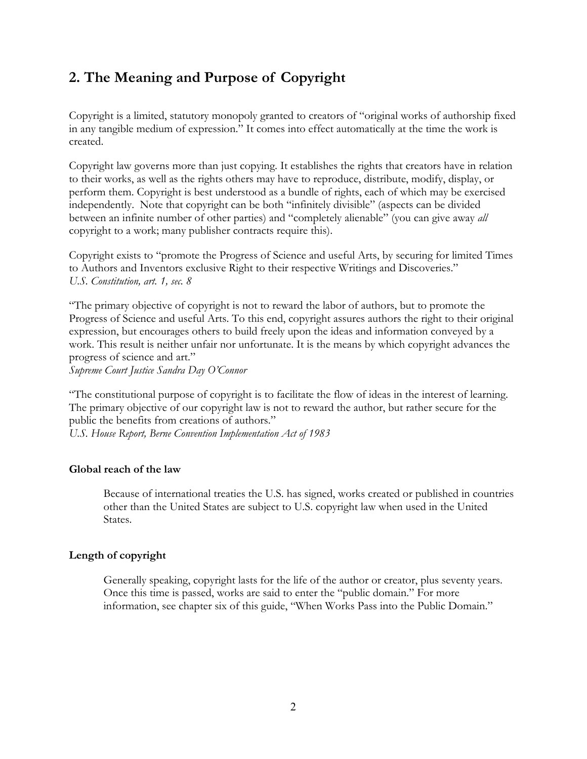# <span id="page-3-0"></span>**2. The Meaning and Purpose of Copyright**

Copyright is a limited, statutory monopoly granted to creators of "original works of authorship fixed in any tangible medium of expression." It comes into effect automatically at the time the work is created.

Copyright law governs more than just copying. It establishes the rights that creators have in relation to their works, as well as the rights others may have to reproduce, distribute, modify, display, or perform them. Copyright is best understood as a bundle of rights, each of which may be exercised independently. Note that copyright can be both "infinitely divisible" (aspects can be divided between an infinite number of other parties) and "completely alienable" (you can give away *all* copyright to a work; many publisher contracts require this).

Copyright exists to "promote the Progress of Science and useful Arts, by securing for limited Times to Authors and Inventors exclusive Right to their respective Writings and Discoveries." *U.S. Constitution, art. 1, sec. 8* 

"The primary objective of copyright is not to reward the labor of authors, but to promote the Progress of Science and useful Arts. To this end, copyright assures authors the right to their original expression, but encourages others to build freely upon the ideas and information conveyed by a work. This result is neither unfair nor unfortunate. It is the means by which copyright advances the progress of science and art."

*Supreme Court Justice Sandra Day O'Connor* 

"The constitutional purpose of copyright is to facilitate the flow of ideas in the interest of learning. The primary objective of our copyright law is not to reward the author, but rather secure for the public the benefits from creations of authors."

*U.S. House Report, Berne Convention Implementation Act of 1983* 

### **Global reach of the law**

Because of international treaties the U.S. has signed, works created or published in countries other than the United States are subject to U.S. copyright law when used in the United States.

### **Length of copyright**

Generally speaking, copyright lasts for the life of the author or creator, plus seventy years. Once this time is passed, works are said to enter the "public domain." For more information, see chapter six of this guide, "When Works Pass into the Public Domain."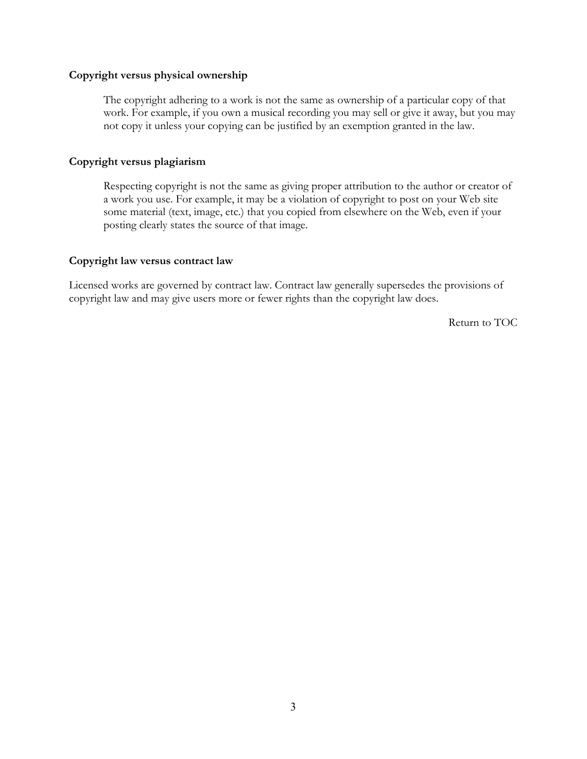### **Copyright versus physical ownership**

The copyright adhering to a work is not the same as ownership of a particular copy of that work. For example, if you own a musical recording you may sell or give it away, but you may not copy it unless your copying can be justified by an exemption granted in the law.

### **Copyright versus plagiarism**

Respecting copyright is not the same as giving proper attribution to the author or creator of a work you use. For example, it may be a violation of copyright to post on your Web site some material (text, image, etc.) that you copied from elsewhere on the Web, even if your posting clearly states the source of that image.

### **Copyright law versus contract law**

Licensed works are governed by contract law. Contract law generally supersedes the provisions of copyright law and may give users more or fewer rights than the copyright law does.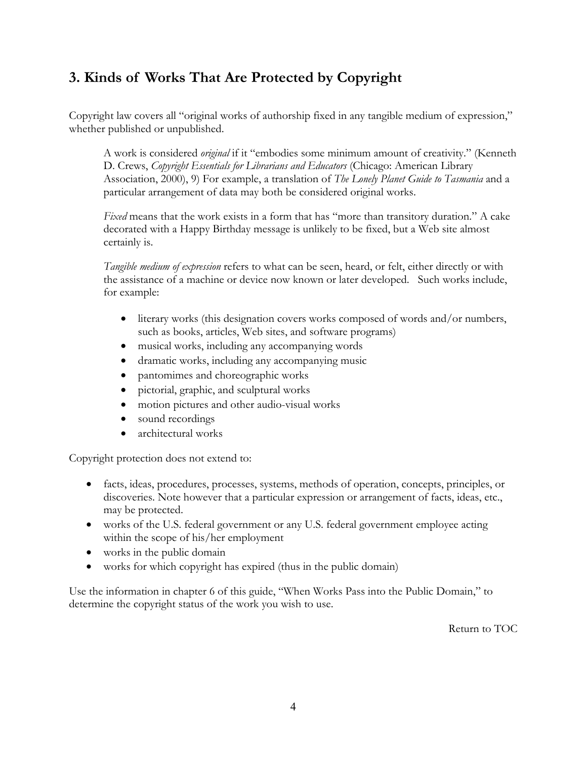# <span id="page-5-0"></span>**3. Kinds of Works That Are Protected by Copyright**

Copyright law covers all "original works of authorship fixed in any tangible medium of expression," whether published or unpublished.

A work is considered *original* if it "embodies some minimum amount of creativity." (Kenneth D. Crews, *Copyright Essentials for Librarians and Educators* (Chicago: American Library Association, 2000), 9) For example, a translation of *The Lonely Planet Guide to Tasmania* and a particular arrangement of data may both be considered original works.

*Fixed* means that the work exists in a form that has "more than transitory duration." A cake decorated with a Happy Birthday message is unlikely to be fixed, but a Web site almost certainly is.

*Tangible medium of expression* refers to what can be seen, heard, or felt, either directly or with the assistance of a machine or device now known or later developed. Such works include, for example:

- literary works (this designation covers works composed of words and/or numbers, such as books, articles, Web sites, and software programs)
- musical works, including any accompanying words
- dramatic works, including any accompanying music
- pantomimes and choreographic works
- pictorial, graphic, and sculptural works
- motion pictures and other audio-visual works
- sound recordings
- architectural works

Copyright protection does not extend to:

- facts, ideas, procedures, processes, systems, methods of operation, concepts, principles, or discoveries. Note however that a particular expression or arrangement of facts, ideas, etc., may be protected.
- works of the U.S. federal government or any U.S. federal government employee acting within the scope of his/her employment
- works in the public domain
- works for which copyright has expired (thus in the public domain)

Use the information in chapter 6 of this guide, "When Works Pass into the Public Domain," to determine the copyright status of the work you wish to use.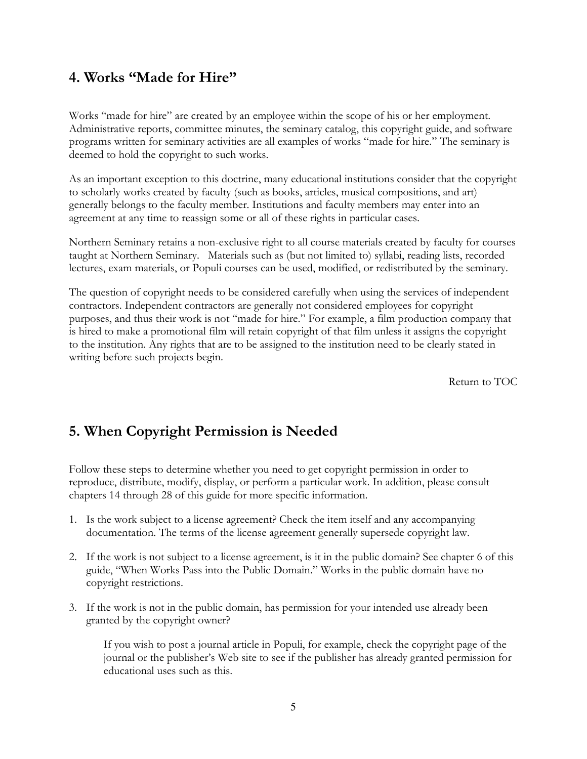## <span id="page-6-0"></span>**4. Works "Made for Hire"**

Works "made for hire" are created by an employee within the scope of his or her employment. Administrative reports, committee minutes, the seminary catalog, this copyright guide, and software programs written for seminary activities are all examples of works "made for hire." The seminary is deemed to hold the copyright to such works.

As an important exception to this doctrine, many educational institutions consider that the copyright to scholarly works created by faculty (such as books, articles, musical compositions, and art) generally belongs to the faculty member. Institutions and faculty members may enter into an agreement at any time to reassign some or all of these rights in particular cases.

Northern Seminary retains a non-exclusive right to all course materials created by faculty for courses taught at Northern Seminary. Materials such as (but not limited to) syllabi, reading lists, recorded lectures, exam materials, or Populi courses can be used, modified, or redistributed by the seminary.

The question of copyright needs to be considered carefully when using the services of independent contractors. Independent contractors are generally not considered employees for copyright purposes, and thus their work is not "made for hire." For example, a film production company that is hired to make a promotional film will retain copyright of that film unless it assigns the copyright to the institution. Any rights that are to be assigned to the institution need to be clearly stated in writing before such projects begin.

[Return to TOC](#page-0-0) 

## **5. When Copyright Permission is Needed**

Follow these steps to determine whether you need to get copyright permission in order to reproduce, distribute, modify, display, or perform a particular work. In addition, please consult chapters 14 through 28 of this guide for more specific information.

- 1. Is the work subject to a license agreement? Check the item itself and any accompanying documentation. The terms of the license agreement generally supersede copyright law.
- 2. If the work is not subject to a license agreement, is it in the public domain? See chapter 6 of this guide, "When Works Pass into the Public Domain." Works in the public domain have no copyright restrictions.
- 3. If the work is not in the public domain, has permission for your intended use already been granted by the copyright owner?

If you wish to post a journal article in Populi, for example, check the copyright page of the journal or the publisher's Web site to see if the publisher has already granted permission for educational uses such as this.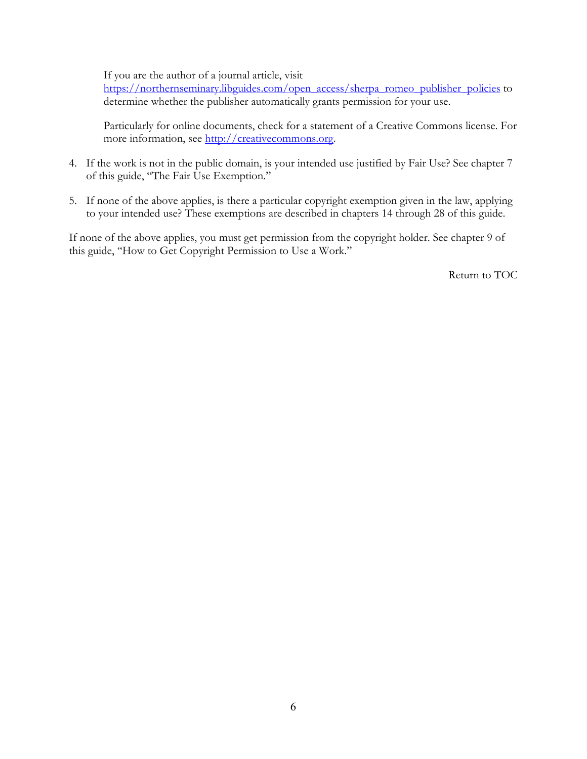If you are the author of a journal article, visit

[https://northernseminary.libguides.com/open\\_access/sherpa\\_romeo\\_publisher\\_policies](https://northernseminary.libguides.com/open_access/sherpa_romeo_publisher_policies) to determine whether the publisher automatically grants permission for your use.

Particularly for online documents, check for a statement of a Creative Commons license. For more information, see [http://creativecommons.org.](http://creativecommons.org)

- 4. If the work is not in the public domain, is your intended use justified by Fair Use? See chapter 7 of this guide, "The Fair Use Exemption."
- 5. If none of the above applies, is there a particular copyright exemption given in the law, applying to your intended use? These exemptions are described in chapters 14 through 28 of this guide.

If none of the above applies, you must get permission from the copyright holder. See chapter 9 of this guide, "How to Get Copyright Permission to Use a Work."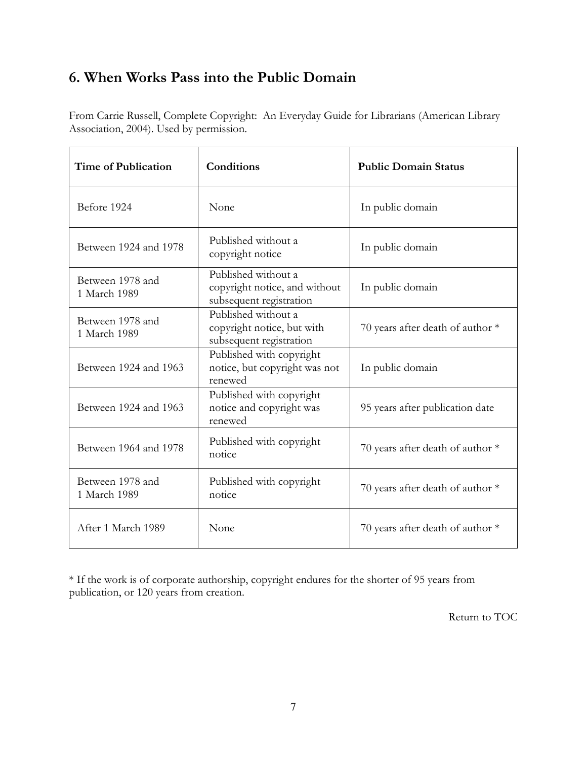# <span id="page-8-0"></span>**6. When Works Pass into the Public Domain**

From Carrie Russell, Complete Copyright: An Everyday Guide for Librarians (American Library Association, 2004). Used by permission.

| <b>Time of Publication</b>       | Conditions                                                                      | <b>Public Domain Status</b>        |
|----------------------------------|---------------------------------------------------------------------------------|------------------------------------|
| Before 1924                      | None                                                                            | In public domain                   |
| Between 1924 and 1978            | Published without a<br>copyright notice                                         | In public domain                   |
| Between 1978 and<br>1 March 1989 | Published without a<br>copyright notice, and without<br>subsequent registration | In public domain                   |
| Between 1978 and<br>1 March 1989 | Published without a<br>copyright notice, but with<br>subsequent registration    | 70 years after death of author *   |
| Between 1924 and 1963            | Published with copyright<br>notice, but copyright was not<br>renewed            | In public domain                   |
| Between 1924 and 1963            | Published with copyright<br>notice and copyright was<br>renewed                 | 95 years after publication date    |
| Between 1964 and 1978            | Published with copyright<br>notice                                              | 70 years after death of author *   |
| Between 1978 and<br>1 March 1989 | Published with copyright<br>notice                                              | 70 years after death of author $*$ |
| After 1 March 1989               | None                                                                            | 70 years after death of author $*$ |

\* If the work is of corporate authorship, copyright endures for the shorter of 95 years from publication, or 120 years from creation.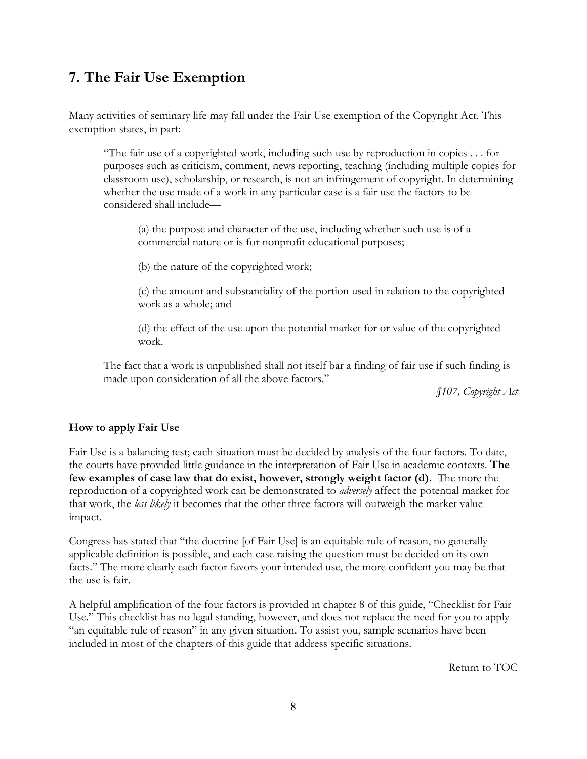# <span id="page-9-0"></span>**7. The Fair Use Exemption**

Many activities of seminary life may fall under the Fair Use exemption of the Copyright Act. This exemption states, in part:

"The fair use of a copyrighted work, including such use by reproduction in copies . . . for purposes such as criticism, comment, news reporting, teaching (including multiple copies for classroom use), scholarship, or research, is not an infringement of copyright. In determining whether the use made of a work in any particular case is a fair use the factors to be considered shall include—

(a) the purpose and character of the use, including whether such use is of a commercial nature or is for nonprofit educational purposes;

(b) the nature of the copyrighted work;

(c) the amount and substantiality of the portion used in relation to the copyrighted work as a whole; and

(d) the effect of the use upon the potential market for or value of the copyrighted work.

The fact that a work is unpublished shall not itself bar a finding of fair use if such finding is made upon consideration of all the above factors."

*§107, Copyright Act* 

### **How to apply Fair Use**

Fair Use is a balancing test; each situation must be decided by analysis of the four factors. To date, the courts have provided little guidance in the interpretation of Fair Use in academic contexts. **The few examples of case law that do exist, however, strongly weight factor (d).** The more the reproduction of a copyrighted work can be demonstrated to *adversely* affect the potential market for that work, the *less likely* it becomes that the other three factors will outweigh the market value impact.

Congress has stated that "the doctrine [of Fair Use] is an equitable rule of reason, no generally applicable definition is possible, and each case raising the question must be decided on its own facts." The more clearly each factor favors your intended use, the more confident you may be that the use is fair.

A helpful amplification of the four factors is provided in chapter 8 of this guide, "Checklist for Fair Use." This checklist has no legal standing, however, and does not replace the need for you to apply "an equitable rule of reason" in any given situation. To assist you, sample scenarios have been included in most of the chapters of this guide that address specific situations.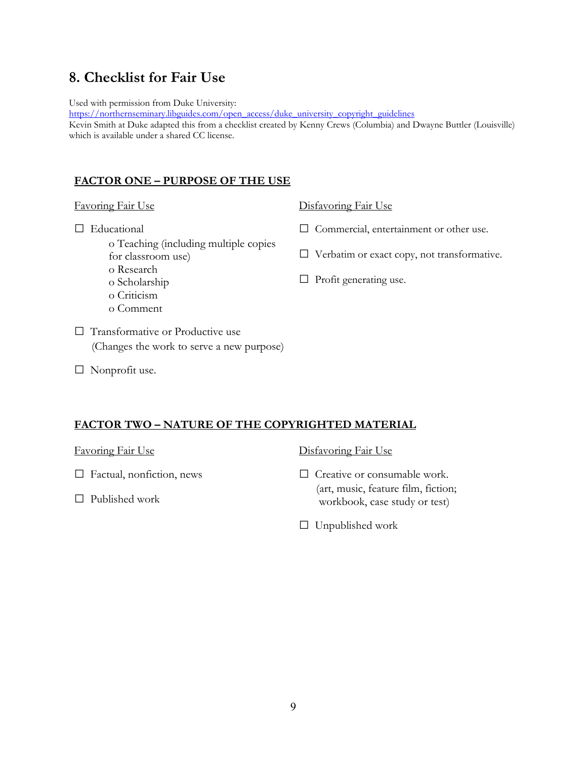## <span id="page-10-0"></span>**8. Checklist for Fair Use**

Used with permission from Duke University:

[https://northernseminary.libguides.com/open\\_access/duke\\_university\\_copyright\\_guidelines](https://northernseminary.libguides.com/open_access/duke_university_copyright_guidelines)

Kevin Smith at Duke adapted this from a checklist created by Kenny Crews (Columbia) and Dwayne Buttler (Louisville) which is available under a shared CC license.

## **FACTOR ONE – PURPOSE OF THE USE**

### Favoring Fair Use

- □ Educational
	- o Teaching (including multiple copies for classroom use)
	- o Research
	- o Scholarship
	- o Criticism
	- o Comment

□ Transformative or Productive use (Changes the work to serve a new purpose)

□ Nonprofit use.

## Disfavoring Fair Use

- □ Commercial, entertainment or other use.
- □ Verbatim or exact copy, not transformative.
- $\Box$  Profit generating use.

## **FACTOR TWO – NATURE OF THE COPYRIGHTED MATERIAL**

Favoring Fair Use

- □ Factual, nonfiction, news
- $\Box$  Published work

Disfavoring Fair Use

- □ Creative or consumable work. (art, music, feature film, fiction; workbook, case study or test)
- $\Box$  Unpublished work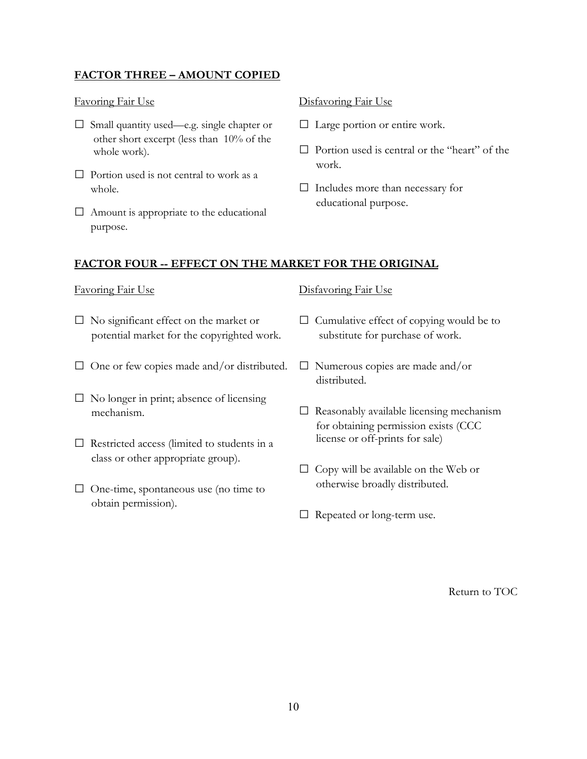## **FACTOR THREE – AMOUNT COPIED**

### Favoring Fair Use

- □ Small quantity used—e.g. single chapter or other short excerpt (less than 10% of the whole work).
- $\Box$  Portion used is not central to work as a whole.
- $\Box$  Amount is appropriate to the educational purpose.

### Disfavoring Fair Use

- □ Large portion or entire work.
- $\Box$  Portion used is central or the "heart" of the work.
- □ Includes more than necessary for educational purpose.

### **FACTOR FOUR -- EFFECT ON THE MARKET FOR THE ORIGINAL**

#### Favoring Fair Use

- $\square$  No significant effect on the market or potential market for the copyrighted work.
- $\Box$  One or few copies made and/or distributed.
- $\square$  No longer in print; absence of licensing mechanism.
- $\square$  Restricted access (limited to students in a class or other appropriate group).
- □ One-time, spontaneous use (no time to obtain permission).

## Disfavoring Fair Use

- $\Box$  Cumulative effect of copying would be to substitute for purchase of work.
- □ Numerous copies are made and/or distributed.
- $\Box$  Reasonably available licensing mechanism for obtaining permission exists (CCC license or off-prints for sale)
- $\Box$  Copy will be available on the Web or otherwise broadly distributed.
- □ Repeated or long-term use.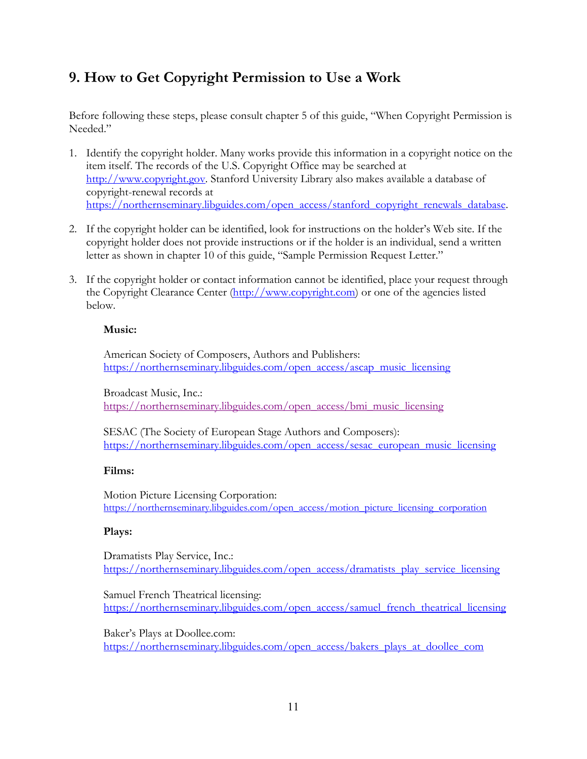# <span id="page-12-0"></span>**9. How to Get Copyright Permission to Use a Work**

Before following these steps, please consult chapter 5 of this guide, "When Copyright Permission is Needed."

- 1. Identify the copyright holder. Many works provide this information in a copyright notice on the item itself. The records of the U.S. Copyright Office may be searched at <http://www.copyright.gov>. Stanford University Library also makes available a database of copyright-renewal records at [https://northernseminary.libguides.com/open\\_access/stanford\\_copyright\\_renewals\\_database.](https://northernseminary.libguides.com/open_access/stanford_copyright_renewals_database)
- 2. If the copyright holder can be identified, look for instructions on the holder's Web site. If the copyright holder does not provide instructions or if the holder is an individual, send a written letter as shown in chapter 10 of this guide, "Sample Permission Request Letter."
- 3. If the copyright holder or contact information cannot be identified, place your request through the Copyright Clearance Center [\(http://www.copyright.com\)](http://www.copyright.com) or one of the agencies listed below.

## **Music:**

American Society of Composers, Authors and Publishers: [https://northernseminary.libguides.com/open\\_access/ascap\\_music\\_licensing](https://northernseminary.libguides.com/open_access/ascap_music_licensing)

Broadcast Music, Inc.: [https://northernseminary.libguides.com/open\\_access/bmi\\_music\\_licensing](https://northernseminary.libguides.com/open_access/bmi_music_licensing)

SESAC (The Society of European Stage Authors and Composers): [https://northernseminary.libguides.com/open\\_access/sesac\\_european\\_music\\_licensing](https://northernseminary.libguides.com/open_access/sesac_european_music_licensing)

### **Films:**

Motion Picture Licensing Corporation: https://northernseminary.libguides.com/open\_access/motion\_picture\_licensing\_corporation

### **Plays:**

Dramatists Play Service, Inc.: [https://northernseminary.libguides.com/open\\_access/dramatists\\_play\\_service\\_licensing](https://northernseminary.libguides.com/open_access/dramatists_play_service_licensing)

Samuel French Theatrical licensing: [https://northernseminary.libguides.com/open\\_access/samuel\\_french\\_theatrical\\_licensing](https://northernseminary.libguides.com/open_access/samuel_french_theatrical_licensing)

Baker's Plays at Doollee.com: [https://northernseminary.libguides.com/open\\_access/bakers\\_plays\\_at\\_doollee\\_com](https://northernseminary.libguides.com/open_access/bakers_plays_at_doollee_com)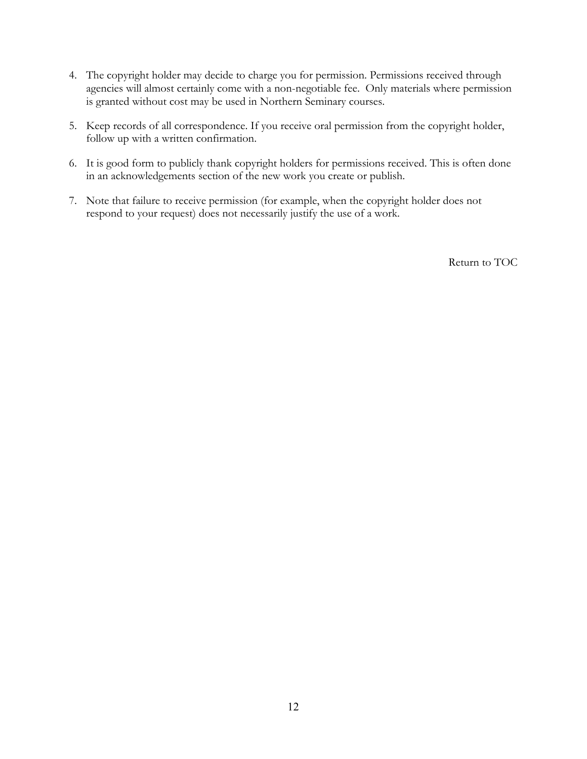- 4. The copyright holder may decide to charge you for permission. Permissions received through agencies will almost certainly come with a non-negotiable fee. Only materials where permission is granted without cost may be used in Northern Seminary courses.
- 5. Keep records of all correspondence. If you receive oral permission from the copyright holder, follow up with a written confirmation.
- 6. It is good form to publicly thank copyright holders for permissions received. This is often done in an acknowledgements section of the new work you create or publish.
- 7. Note that failure to receive permission (for example, when the copyright holder does not respond to your request) does not necessarily justify the use of a work.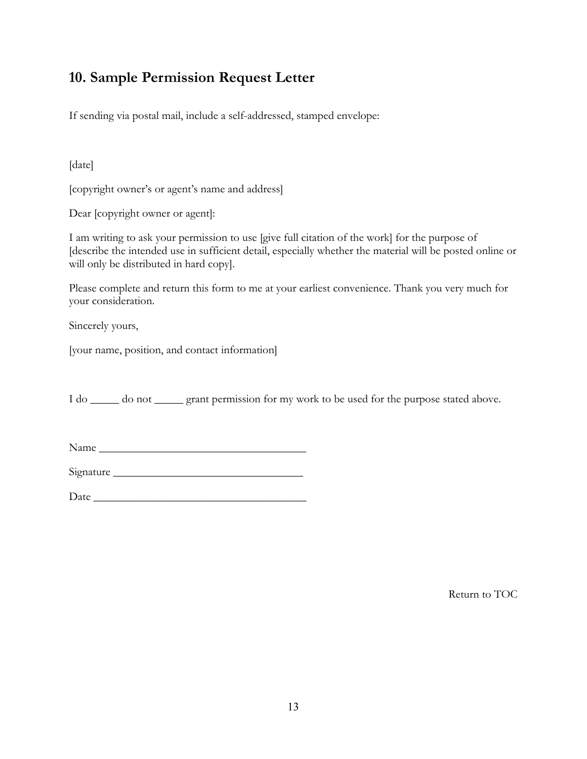# <span id="page-14-0"></span>**10. Sample Permission Request Letter**

If sending via postal mail, include a self-addressed, stamped envelope:

[date]

[copyright owner's or agent's name and address]

Dear [copyright owner or agent]:

I am writing to ask your permission to use [give full citation of the work] for the purpose of [describe the intended use in sufficient detail, especially whether the material will be posted online or will only be distributed in hard copy].

Please complete and return this form to me at your earliest convenience. Thank you very much for your consideration.

Sincerely yours,

[your name, position, and contact information]

I do \_\_\_\_\_\_ do not \_\_\_\_\_\_ grant permission for my work to be used for the purpose stated above.

Name \_\_\_\_\_\_\_\_\_\_\_\_\_\_\_\_\_\_\_\_\_\_\_\_\_\_\_\_\_\_\_\_\_\_\_\_

Signature \_\_\_\_\_\_\_\_\_\_\_\_\_\_\_\_\_\_\_\_\_\_\_\_\_\_\_\_\_\_\_\_\_

 $Date$   $\overline{\phantom{a}}$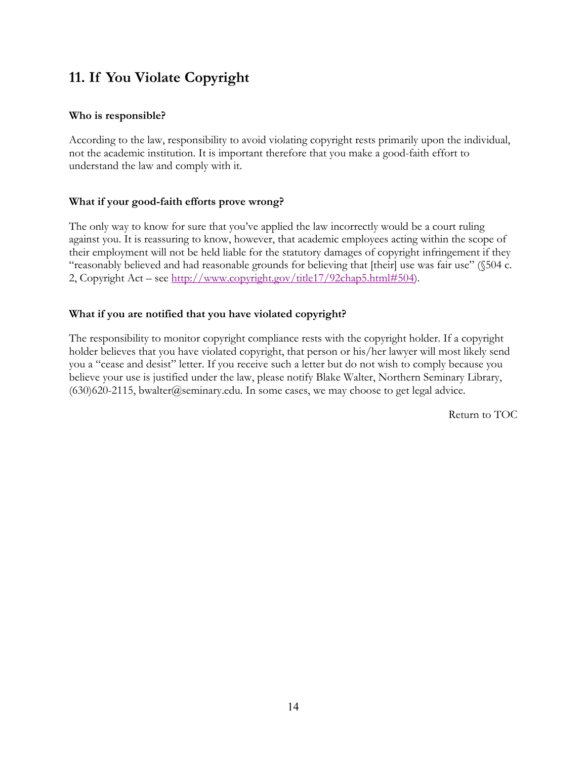# <span id="page-15-0"></span>**11. If You Violate Copyright**

## **Who is responsible?**

According to the law, responsibility to avoid violating copyright rests primarily upon the individual, not the academic institution. It is important therefore that you make a good-faith effort to understand the law and comply with it.

## **What if your good-faith efforts prove wrong?**

The only way to know for sure that you've applied the law incorrectly would be a court ruling against you. It is reassuring to know, however, that academic employees acting within the scope of their employment will not be held liable for the statutory damages of copyright infringement if they "reasonably believed and had reasonable grounds for believing that [their] use was fair use" (§504 c. 2, Copyright Act – see [http://www.copyright.gov/title17/92chap5.html#504\)](http://www.copyright.gov/title17/92chap5.html#504).

## **What if you are notified that you have violated copyright?**

The responsibility to monitor copyright compliance rests with the copyright holder. If a copyright holder believes that you have violated copyright, that person or his/her lawyer will most likely send you a "cease and desist" letter. If you receive such a letter but do not wish to comply because you believe your use is justified under the law, please notify Blake Walter, Northern Seminary Library, (630)620-2115, bwalter@seminary.edu. In some cases, we may choose to get legal advice.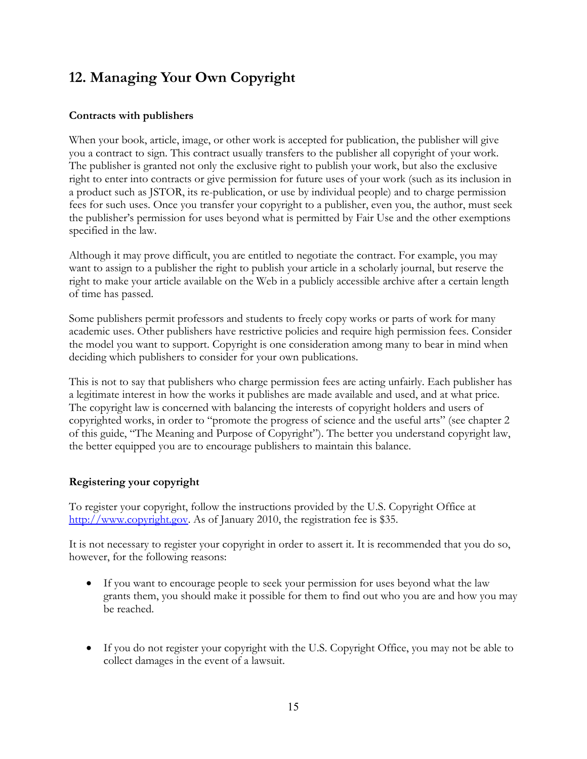# <span id="page-16-0"></span>**12. Managing Your Own Copyright**

## **Contracts with publishers**

When your book, article, image, or other work is accepted for publication, the publisher will give you a contract to sign. This contract usually transfers to the publisher all copyright of your work. The publisher is granted not only the exclusive right to publish your work, but also the exclusive right to enter into contracts or give permission for future uses of your work (such as its inclusion in a product such as JSTOR, its re-publication, or use by individual people) and to charge permission fees for such uses. Once you transfer your copyright to a publisher, even you, the author, must seek the publisher's permission for uses beyond what is permitted by Fair Use and the other exemptions specified in the law.

Although it may prove difficult, you are entitled to negotiate the contract. For example, you may want to assign to a publisher the right to publish your article in a scholarly journal, but reserve the right to make your article available on the Web in a publicly accessible archive after a certain length of time has passed.

Some publishers permit professors and students to freely copy works or parts of work for many academic uses. Other publishers have restrictive policies and require high permission fees. Consider the model you want to support. Copyright is one consideration among many to bear in mind when deciding which publishers to consider for your own publications.

This is not to say that publishers who charge permission fees are acting unfairly. Each publisher has a legitimate interest in how the works it publishes are made available and used, and at what price. The copyright law is concerned with balancing the interests of copyright holders and users of copyrighted works, in order to "promote the progress of science and the useful arts" (see chapter 2 of this guide, "The Meaning and Purpose of Copyright"). The better you understand copyright law, the better equipped you are to encourage publishers to maintain this balance.

## **Registering your copyright**

To register your copyright, follow the instructions provided by the U.S. Copyright Office at <http://www.copyright.gov>. As of January 2010, the registration fee is \$35.

It is not necessary to register your copyright in order to assert it. It is recommended that you do so, however, for the following reasons:

- If you want to encourage people to seek your permission for uses beyond what the law grants them, you should make it possible for them to find out who you are and how you may be reached.
- If you do not register your copyright with the U.S. Copyright Office, you may not be able to collect damages in the event of a lawsuit.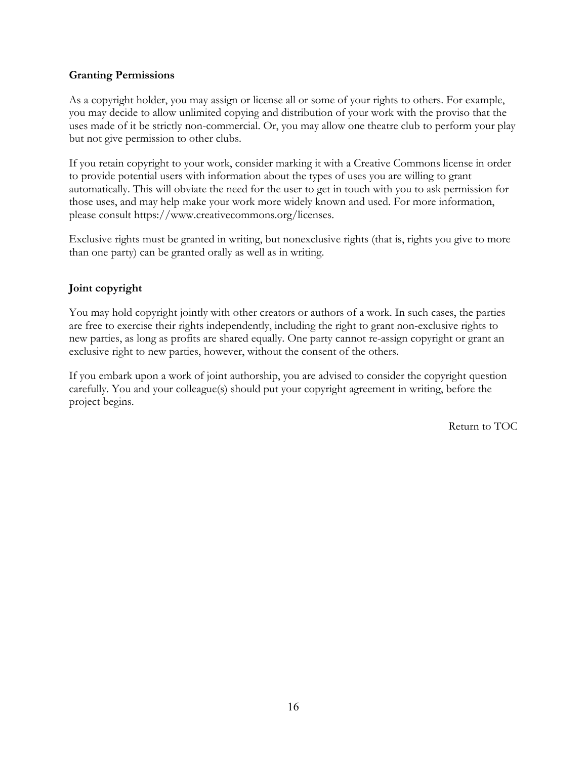### **Granting Permissions**

As a copyright holder, you may assign or license all or some of your rights to others. For example, you may decide to allow unlimited copying and distribution of your work with the proviso that the uses made of it be strictly non-commercial. Or, you may allow one theatre club to perform your play but not give permission to other clubs.

If you retain copyright to your work, consider marking it with a Creative Commons license in order to provide potential users with information about the types of uses you are willing to grant automatically. This will obviate the need for the user to get in touch with you to ask permission for those uses, and may help make your work more widely known and used. For more information, please consult https[://www.creativecommons.org/license](https://www.creativecommons.org/licenses)s.

Exclusive rights must be granted in writing, but nonexclusive rights (that is, rights you give to more than one party) can be granted orally as well as in writing.

## **Joint copyright**

You may hold copyright jointly with other creators or authors of a work. In such cases, the parties are free to exercise their rights independently, including the right to grant non-exclusive rights to new parties, as long as profits are shared equally. One party cannot re-assign copyright or grant an exclusive right to new parties, however, without the consent of the others.

If you embark upon a work of joint authorship, you are advised to consider the copyright question carefully. You and your colleague(s) should put your copyright agreement in writing, before the project begins.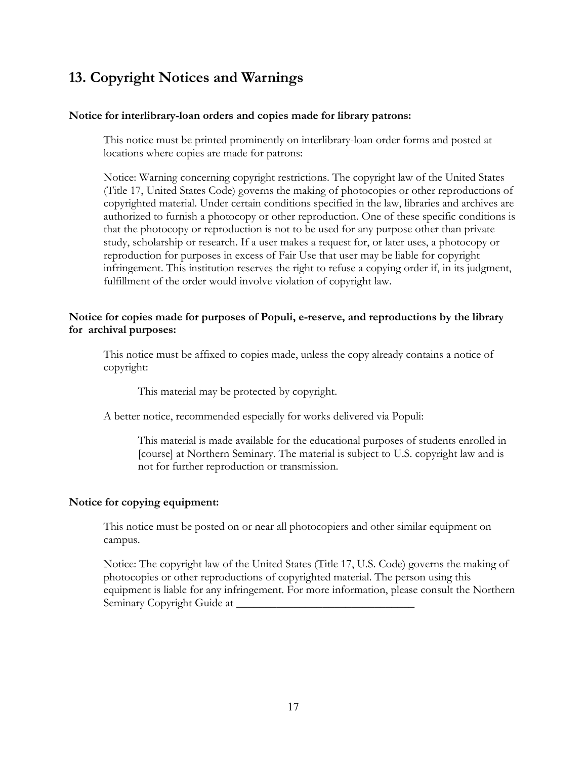# <span id="page-18-0"></span>**13. Copyright Notices and Warnings**

### **Notice for interlibrary-loan orders and copies made for library patrons:**

This notice must be printed prominently on interlibrary-loan order forms and posted at locations where copies are made for patrons:

Notice: Warning concerning copyright restrictions. The copyright law of the United States (Title 17, United States Code) governs the making of photocopies or other reproductions of copyrighted material. Under certain conditions specified in the law, libraries and archives are authorized to furnish a photocopy or other reproduction. One of these specific conditions is that the photocopy or reproduction is not to be used for any purpose other than private study, scholarship or research. If a user makes a request for, or later uses, a photocopy or reproduction for purposes in excess of Fair Use that user may be liable for copyright infringement. This institution reserves the right to refuse a copying order if, in its judgment, fulfillment of the order would involve violation of copyright law.

### **Notice for copies made for purposes of Populi, e-reserve, and reproductions by the library for archival purposes:**

This notice must be affixed to copies made, unless the copy already contains a notice of copyright:

This material may be protected by copyright.

A better notice, recommended especially for works delivered via Populi:

This material is made available for the educational purposes of students enrolled in [course] at Northern Seminary. The material is subject to U.S. copyright law and is not for further reproduction or transmission.

### **Notice for copying equipment:**

This notice must be posted on or near all photocopiers and other similar equipment on campus.

Notice: The copyright law of the United States (Title 17, U.S. Code) governs the making of photocopies or other reproductions of copyrighted material. The person using this equipment is liable for any infringement. For more information, please consult the Northern Seminary Copyright Guide at \_\_\_\_\_\_\_\_\_\_\_\_\_\_\_\_\_\_\_\_\_\_\_\_\_\_\_\_\_\_\_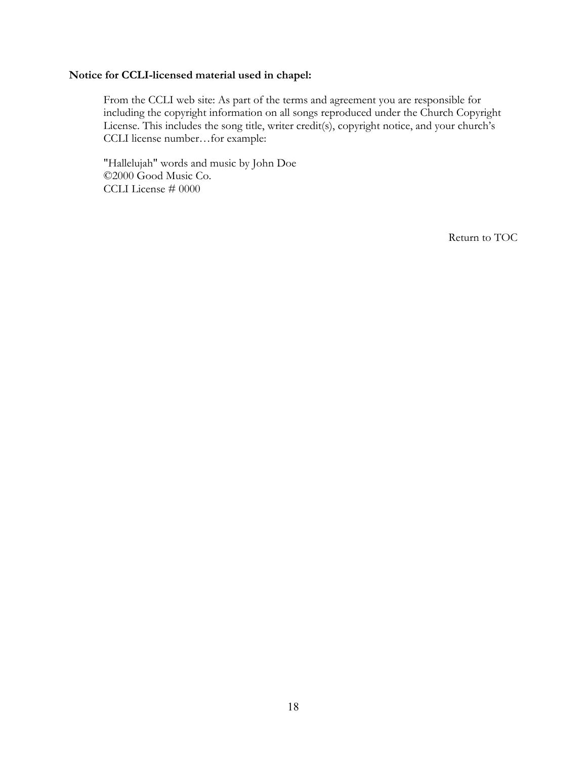## **Notice for CCLI-licensed material used in chapel:**

From the CCLI web site: As part of the terms and agreement you are responsible for including the copyright information on all songs reproduced under the Church Copyright License. This includes the song title, writer credit(s), copyright notice, and your church's CCLI license number…for example:

"Hallelujah" words and music by John Doe ©2000 Good Music Co. CCLI License # 0000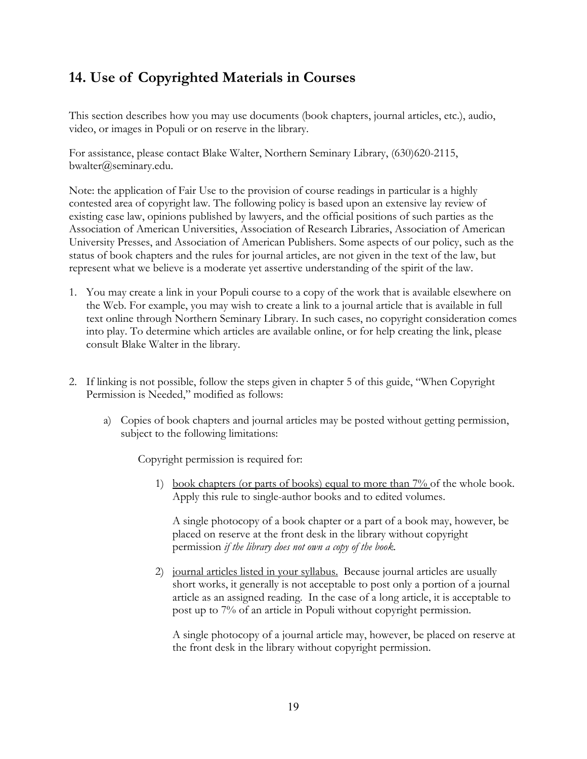# <span id="page-20-0"></span>**14. Use of Copyrighted Materials in Courses**

This section describes how you may use documents (book chapters, journal articles, etc.), audio, video, or images in Populi or on reserve in the library.

For assistance, please contact Blake Walter, Northern Seminary Library, (630)620-2115, bwalter@seminary.edu.

Note: the application of Fair Use to the provision of course readings in particular is a highly contested area of copyright law. The following policy is based upon an extensive lay review of existing case law, opinions published by lawyers, and the official positions of such parties as the Association of American Universities, Association of Research Libraries, Association of American University Presses, and Association of American Publishers. Some aspects of our policy, such as the status of book chapters and the rules for journal articles, are not given in the text of the law, but represent what we believe is a moderate yet assertive understanding of the spirit of the law.

- 1. You may create a link in your Populi course to a copy of the work that is available elsewhere on the Web. For example, you may wish to create a link to a journal article that is available in full text online through Northern Seminary Library. In such cases, no copyright consideration comes into play. To determine which articles are available online, or for help creating the link, please consult Blake Walter in the library.
- 2. If linking is not possible, follow the steps given in chapter 5 of this guide, "When Copyright Permission is Needed," modified as follows:
	- a) Copies of book chapters and journal articles may be posted without getting permission, subject to the following limitations:

Copyright permission is required for:

1) book chapters (or parts of books) equal to more than  $7\%$  of the whole book. Apply this rule to single-author books and to edited volumes.

A single photocopy of a book chapter or a part of a book may, however, be placed on reserve at the front desk in the library without copyright permission *if the library does not own a copy of the book.*

2) journal articles listed in your syllabus. Because journal articles are usually short works, it generally is not acceptable to post only a portion of a journal article as an assigned reading. In the case of a long article, it is acceptable to post up to 7% of an article in Populi without copyright permission.

A single photocopy of a journal article may, however, be placed on reserve at the front desk in the library without copyright permission.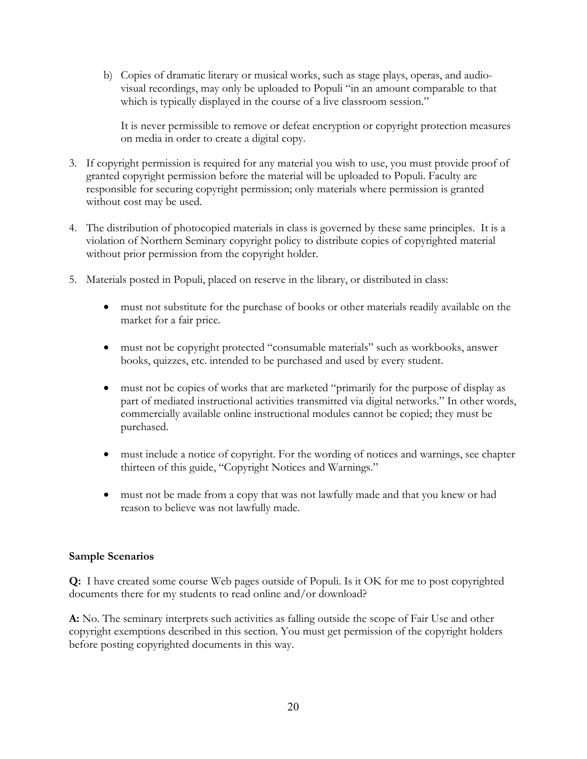b) Copies of dramatic literary or musical works, such as stage plays, operas, and audiovisual recordings, may only be uploaded to Populi "in an amount comparable to that which is typically displayed in the course of a live classroom session."

It is never permissible to remove or defeat encryption or copyright protection measures on media in order to create a digital copy.

- 3. If copyright permission is required for any material you wish to use, you must provide proof of granted copyright permission before the material will be uploaded to Populi. Faculty are responsible for securing copyright permission; only materials where permission is granted without cost may be used.
- 4. The distribution of photocopied materials in class is governed by these same principles. It is a violation of Northern Seminary copyright policy to distribute copies of copyrighted material without prior permission from the copyright holder.
- 5. Materials posted in Populi, placed on reserve in the library, or distributed in class:
	- must not substitute for the purchase of books or other materials readily available on the market for a fair price.
	- must not be copyright protected "consumable materials" such as workbooks, answer books, quizzes, etc. intended to be purchased and used by every student.
	- must not be copies of works that are marketed "primarily for the purpose of display as part of mediated instructional activities transmitted via digital networks." In other words, commercially available online instructional modules cannot be copied; they must be purchased.
	- must include a notice of copyright. For the wording of notices and warnings, see chapter thirteen of this guide, "Copyright Notices and Warnings."
	- must not be made from a copy that was not lawfully made and that you knew or had reason to believe was not lawfully made.

### **Sample Scenarios**

**Q:** I have created some course Web pages outside of Populi. Is it OK for me to post copyrighted documents there for my students to read online and/or download?

A: No. The seminary interprets such activities as falling outside the scope of Fair Use and other copyright exemptions described in this section. You must get permission of the copyright holders before posting copyrighted documents in this way.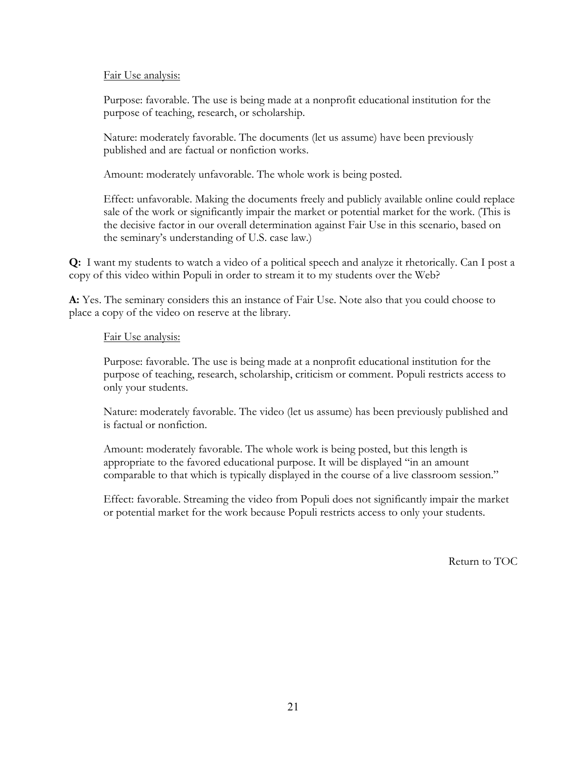### Fair Use analysis:

Purpose: favorable. The use is being made at a nonprofit educational institution for the purpose of teaching, research, or scholarship.

Nature: moderately favorable. The documents (let us assume) have been previously published and are factual or nonfiction works.

Amount: moderately unfavorable. The whole work is being posted.

Effect: unfavorable. Making the documents freely and publicly available online could replace sale of the work or significantly impair the market or potential market for the work. (This is the decisive factor in our overall determination against Fair Use in this scenario, based on the seminary's understanding of U.S. case law.)

**Q:** I want my students to watch a video of a political speech and analyze it rhetorically. Can I post a copy of this video within Populi in order to stream it to my students over the Web?

**A:** Yes. The seminary considers this an instance of Fair Use. Note also that you could choose to place a copy of the video on reserve at the library.

## Fair Use analysis:

Purpose: favorable. The use is being made at a nonprofit educational institution for the purpose of teaching, research, scholarship, criticism or comment. Populi restricts access to only your students.

Nature: moderately favorable. The video (let us assume) has been previously published and is factual or nonfiction.

Amount: moderately favorable. The whole work is being posted, but this length is appropriate to the favored educational purpose. It will be displayed "in an amount comparable to that which is typically displayed in the course of a live classroom session."

Effect: favorable. Streaming the video from Populi does not significantly impair the market or potential market for the work because Populi restricts access to only your students.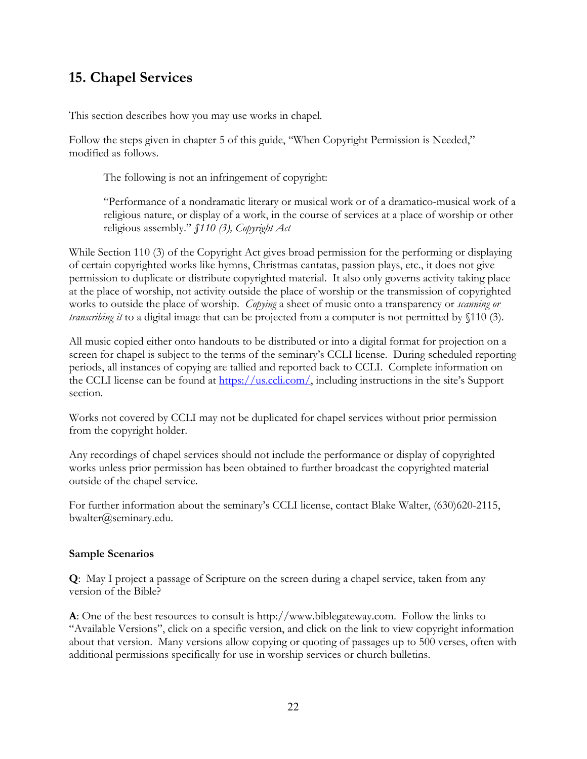# <span id="page-23-0"></span>**15. Chapel Services**

This section describes how you may use works in chapel.

Follow the steps given in chapter 5 of this guide, "When Copyright Permission is Needed," modified as follows.

The following is not an infringement of copyright:

"Performance of a nondramatic literary or musical work or of a dramatico-musical work of a religious nature, or display of a work, in the course of services at a place of worship or other religious assembly." *§110 (3), Copyright Act* 

While Section 110 (3) of the Copyright Act gives broad permission for the performing or displaying of certain copyrighted works like hymns, Christmas cantatas, passion plays, etc., it does not give permission to duplicate or distribute copyrighted material. It also only governs activity taking place at the place of worship, not activity outside the place of worship or the transmission of copyrighted works to outside the place of worship. *Copying* a sheet of music onto a transparency or *scanning or transcribing it* to a digital image that can be projected from a computer is not permitted by §110 (3).

All music copied either onto handouts to be distributed or into a digital format for projection on a screen for chapel is subject to the terms of the seminary's CCLI license. During scheduled reporting periods, all instances of copying are tallied and reported back to CCLI. Complete information on the CCLI license can be found at [https://us.ccli.com/,](https://us.ccli.com/) including instructions in the site's Support section.

Works not covered by CCLI may not be duplicated for chapel services without prior permission from the copyright holder.

Any recordings of chapel services should not include the performance or display of copyrighted works unless prior permission has been obtained to further broadcast the copyrighted material outside of the chapel service.

For further information about the seminary's CCLI license, contact Blake Walter, (630)620-2115, bwalter@seminary.edu.

### **Sample Scenarios**

**Q**: May I project a passage of Scripture on the screen during a chapel service, taken from any version of the Bible?

**A**: One of the best resources to consult is http://www.biblegateway.com. Follow the links to "Available Versions", click on a specific version, and click on the link to view copyright information about that version. Many versions allow copying or quoting of passages up to 500 verses, often with additional permissions specifically for use in worship services or church bulletins.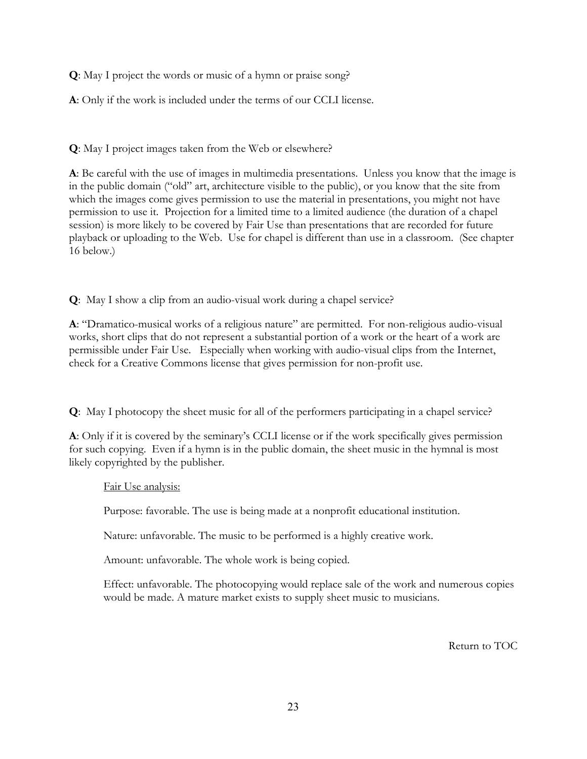**Q**: May I project the words or music of a hymn or praise song?

**A**: Only if the work is included under the terms of our CCLI license.

**Q**: May I project images taken from the Web or elsewhere?

**A**: Be careful with the use of images in multimedia presentations. Unless you know that the image is in the public domain ("old" art, architecture visible to the public), or you know that the site from which the images come gives permission to use the material in presentations, you might not have permission to use it. Projection for a limited time to a limited audience (the duration of a chapel session) is more likely to be covered by Fair Use than presentations that are recorded for future playback or uploading to the Web. Use for chapel is different than use in a classroom. (See chapter 16 below.)

**Q**: May I show a clip from an audio-visual work during a chapel service?

**A**: "Dramatico-musical works of a religious nature" are permitted. For non-religious audio-visual works, short clips that do not represent a substantial portion of a work or the heart of a work are permissible under Fair Use. Especially when working with audio-visual clips from the Internet, check for a Creative Commons license that gives permission for non-profit use.

**Q**: May I photocopy the sheet music for all of the performers participating in a chapel service?

**A**: Only if it is covered by the seminary's CCLI license or if the work specifically gives permission for such copying. Even if a hymn is in the public domain, the sheet music in the hymnal is most likely copyrighted by the publisher.

Fair Use analysis:

Purpose: favorable. The use is being made at a nonprofit educational institution.

Nature: unfavorable. The music to be performed is a highly creative work.

Amount: unfavorable. The whole work is being copied.

Effect: unfavorable. The photocopying would replace sale of the work and numerous copies would be made. A mature market exists to supply sheet music to musicians.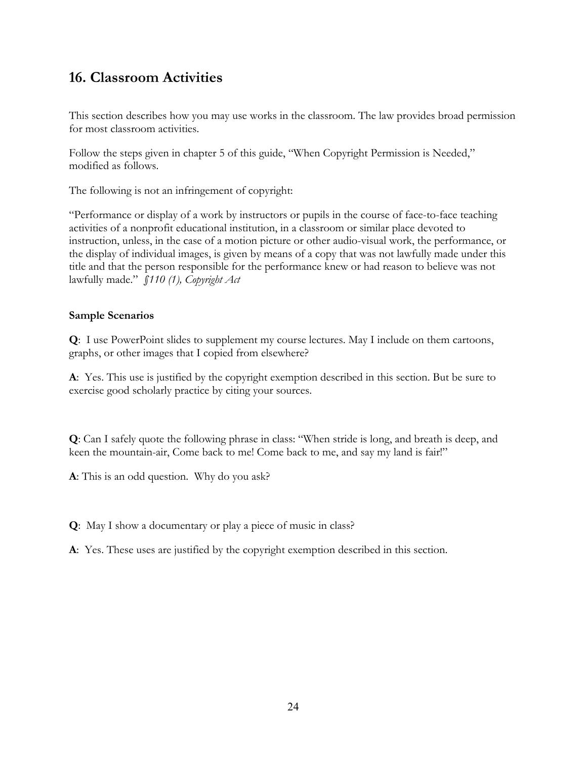# <span id="page-25-0"></span>**16. Classroom Activities**

This section describes how you may use works in the classroom. The law provides broad permission for most classroom activities.

Follow the steps given in chapter 5 of this guide, "When Copyright Permission is Needed," modified as follows.

The following is not an infringement of copyright:

"Performance or display of a work by instructors or pupils in the course of face-to-face teaching activities of a nonprofit educational institution, in a classroom or similar place devoted to instruction, unless, in the case of a motion picture or other audio-visual work, the performance, or the display of individual images, is given by means of a copy that was not lawfully made under this title and that the person responsible for the performance knew or had reason to believe was not lawfully made." *§110 (1), Copyright Act* 

## **Sample Scenarios**

**Q**: I use PowerPoint slides to supplement my course lectures. May I include on them cartoons, graphs, or other images that I copied from elsewhere?

**A**: Yes. This use is justified by the copyright exemption described in this section. But be sure to exercise good scholarly practice by citing your sources.

**Q**: Can I safely quote the following phrase in class: "When stride is long, and breath is deep, and keen the mountain-air, Come back to me! Come back to me, and say my land is fair!"

**A**: This is an odd question. Why do you ask?

**Q**: May I show a documentary or play a piece of music in class?

**A**: Yes. These uses are justified by the copyright exemption described in this section.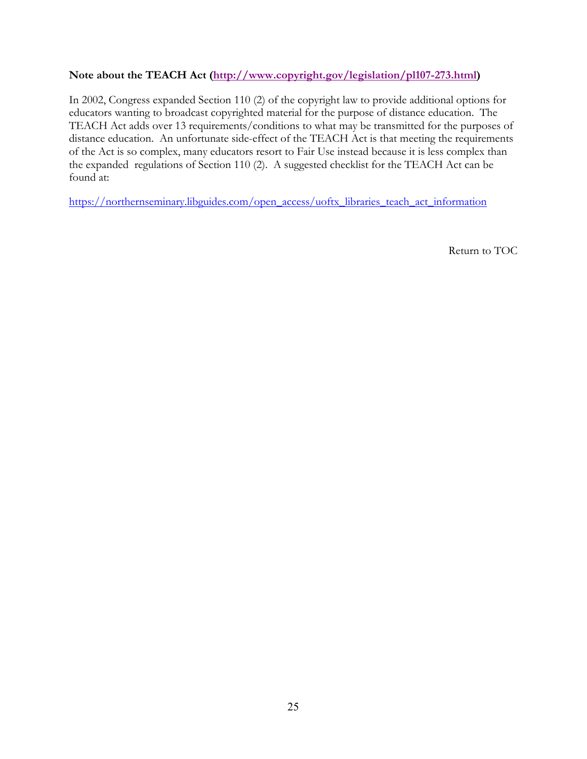## **Note about the TEACH Act [\(http://www.copyright.gov/legislation/pl107-273.html](http://www.copyright.gov/legislation/pl107-273.html))**

In 2002, Congress expanded Section 110 (2) of the copyright law to provide additional options for educators wanting to broadcast copyrighted material for the purpose of distance education. The TEACH Act adds over 13 requirements/conditions to what may be transmitted for the purposes of distance education. An unfortunate side-effect of the TEACH Act is that meeting the requirements of the Act is so complex, many educators resort to Fair Use instead because it is less complex than the expanded regulations of Section 110 (2). A suggested checklist for the TEACH Act can be found at:

[https://northernseminary.libguides.com/open\\_access/uoftx\\_libraries\\_teach\\_act\\_information](https://northernseminary.libguides.com/open_access/uoftx_libraries_teach_act_information)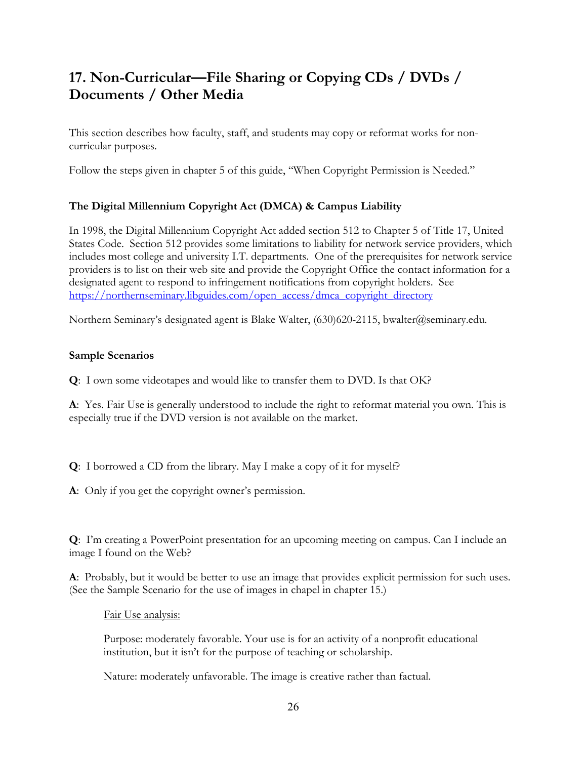# <span id="page-27-0"></span>**17. Non-Curricular—File Sharing or Copying CDs / DVDs / Documents / Other Media**

This section describes how faculty, staff, and students may copy or reformat works for noncurricular purposes.

Follow the steps given in chapter 5 of this guide, "When Copyright Permission is Needed."

## **The Digital Millennium Copyright Act (DMCA) & Campus Liability**

In 1998, the Digital Millennium Copyright Act added section 512 to Chapter 5 of Title 17, United States Code. Section 512 provides some limitations to liability for network service providers, which includes most college and university I.T. departments. One of the prerequisites for network service providers is to list on their web site and provide the Copyright Office the contact information for a designated agent to respond to infringement notifications from copyright holders. See [https://northernseminary.libguides.com/open\\_access/dmca\\_copyright\\_directory](https://northernseminary.libguides.com/open_access/dmca_copyright_directory)

Northern Seminary's designated agent is Blake Walter, (630)620-2115, bwalter@seminary.edu.

## **Sample Scenarios**

**Q**: I own some videotapes and would like to transfer them to DVD. Is that OK?

**A**: Yes. Fair Use is generally understood to include the right to reformat material you own. This is especially true if the DVD version is not available on the market.

**Q**: I borrowed a CD from the library. May I make a copy of it for myself?

**A**: Only if you get the copyright owner's permission.

**Q**: I'm creating a PowerPoint presentation for an upcoming meeting on campus. Can I include an image I found on the Web?

**A**: Probably, but it would be better to use an image that provides explicit permission for such uses. (See the Sample Scenario for the use of images in chapel in chapter 15.)

Fair Use analysis:

Purpose: moderately favorable. Your use is for an activity of a nonprofit educational institution, but it isn't for the purpose of teaching or scholarship.

Nature: moderately unfavorable. The image is creative rather than factual.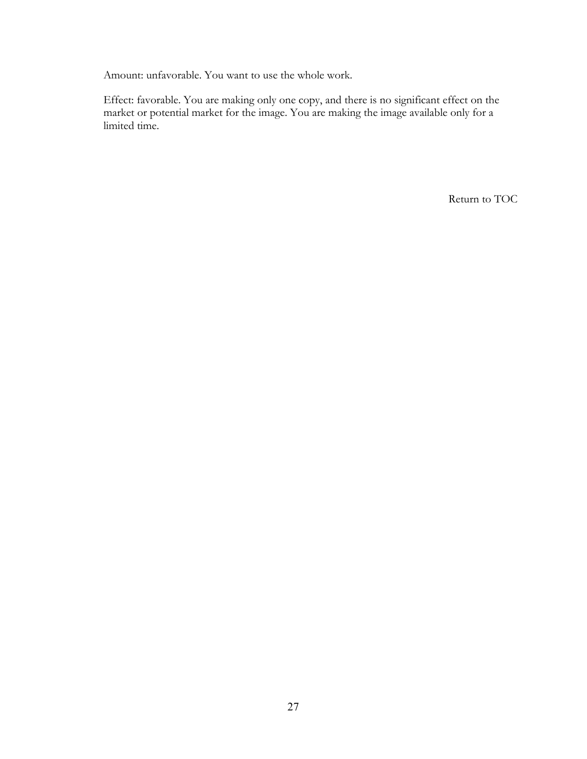Amount: unfavorable. You want to use the whole work.

Effect: favorable. You are making only one copy, and there is no significant effect on the market or potential market for the image. You are making the image available only for a limited time.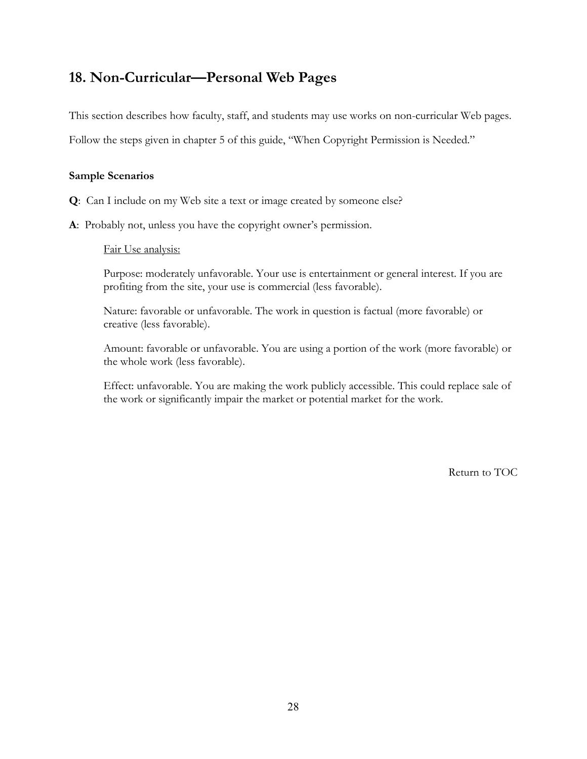## <span id="page-29-0"></span>**18. Non-Curricular—Personal Web Pages**

This section describes how faculty, staff, and students may use works on non-curricular Web pages.

Follow the steps given in chapter 5 of this guide, "When Copyright Permission is Needed."

### **Sample Scenarios**

- **Q**: Can I include on my Web site a text or image created by someone else?
- **A**: Probably not, unless you have the copyright owner's permission.

### Fair Use analysis:

Purpose: moderately unfavorable. Your use is entertainment or general interest. If you are profiting from the site, your use is commercial (less favorable).

Nature: favorable or unfavorable. The work in question is factual (more favorable) or creative (less favorable).

Amount: favorable or unfavorable. You are using a portion of the work (more favorable) or the whole work (less favorable).

Effect: unfavorable. You are making the work publicly accessible. This could replace sale of the work or significantly impair the market or potential market for the work.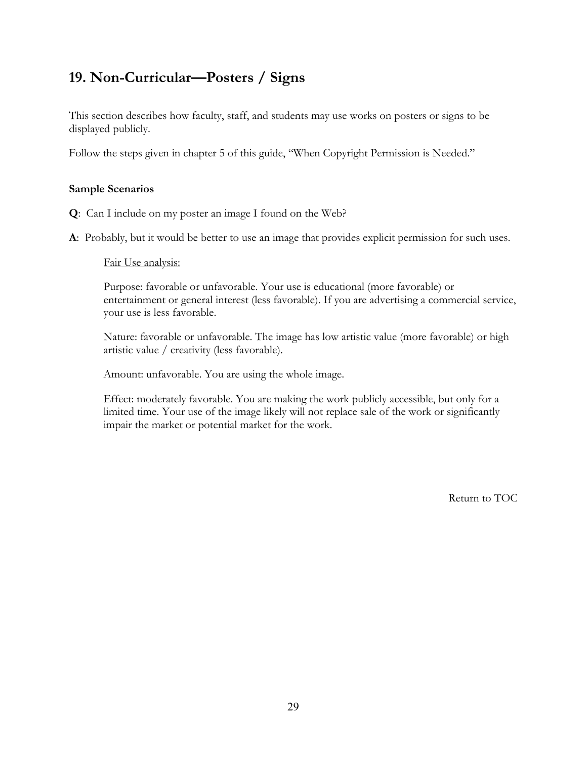# <span id="page-30-0"></span>**19. Non-Curricular—Posters / Signs**

This section describes how faculty, staff, and students may use works on posters or signs to be displayed publicly.

Follow the steps given in chapter 5 of this guide, "When Copyright Permission is Needed."

### **Sample Scenarios**

- **Q**: Can I include on my poster an image I found on the Web?
- **A**: Probably, but it would be better to use an image that provides explicit permission for such uses.

### Fair Use analysis:

Purpose: favorable or unfavorable. Your use is educational (more favorable) or entertainment or general interest (less favorable). If you are advertising a commercial service, your use is less favorable.

Nature: favorable or unfavorable. The image has low artistic value (more favorable) or high artistic value / creativity (less favorable).

Amount: unfavorable. You are using the whole image.

Effect: moderately favorable. You are making the work publicly accessible, but only for a limited time. Your use of the image likely will not replace sale of the work or significantly impair the market or potential market for the work.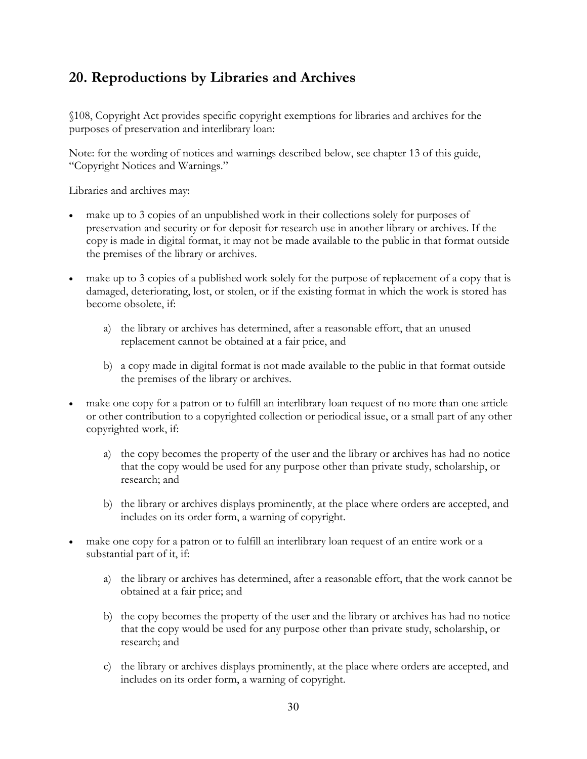# <span id="page-31-0"></span>**20. Reproductions by Libraries and Archives**

§108, Copyright Act provides specific copyright exemptions for libraries and archives for the purposes of preservation and interlibrary loan:

Note: for the wording of notices and warnings described below, see chapter 13 of this guide, "Copyright Notices and Warnings."

Libraries and archives may:

- make up to 3 copies of an unpublished work in their collections solely for purposes of preservation and security or for deposit for research use in another library or archives. If the copy is made in digital format, it may not be made available to the public in that format outside the premises of the library or archives.
- make up to 3 copies of a published work solely for the purpose of replacement of a copy that is damaged, deteriorating, lost, or stolen, or if the existing format in which the work is stored has become obsolete, if:
	- a) the library or archives has determined, after a reasonable effort, that an unused replacement cannot be obtained at a fair price, and
	- b) a copy made in digital format is not made available to the public in that format outside the premises of the library or archives.
- make one copy for a patron or to fulfill an interlibrary loan request of no more than one article or other contribution to a copyrighted collection or periodical issue, or a small part of any other copyrighted work, if:
	- a) the copy becomes the property of the user and the library or archives has had no notice that the copy would be used for any purpose other than private study, scholarship, or research; and
	- b) the library or archives displays prominently, at the place where orders are accepted, and includes on its order form, a warning of copyright.
- make one copy for a patron or to fulfill an interlibrary loan request of an entire work or a substantial part of it, if:
	- a) the library or archives has determined, after a reasonable effort, that the work cannot be obtained at a fair price; and
	- b) the copy becomes the property of the user and the library or archives has had no notice that the copy would be used for any purpose other than private study, scholarship, or research; and
	- c) the library or archives displays prominently, at the place where orders are accepted, and includes on its order form, a warning of copyright.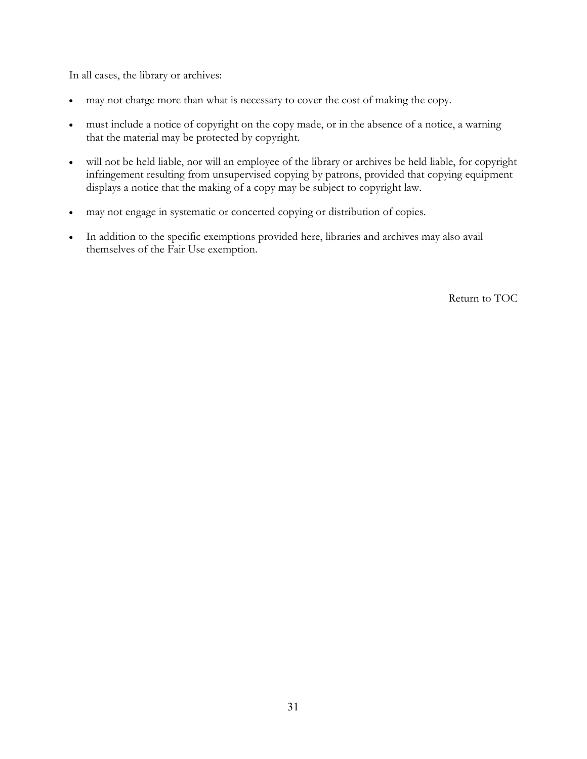In all cases, the library or archives:

- may not charge more than what is necessary to cover the cost of making the copy.
- must include a notice of copyright on the copy made, or in the absence of a notice, a warning that the material may be protected by copyright.
- will not be held liable, nor will an employee of the library or archives be held liable, for copyright infringement resulting from unsupervised copying by patrons, provided that copying equipment displays a notice that the making of a copy may be subject to copyright law.
- may not engage in systematic or concerted copying or distribution of copies.
- In addition to the specific exemptions provided here, libraries and archives may also avail themselves of the Fair Use exemption.